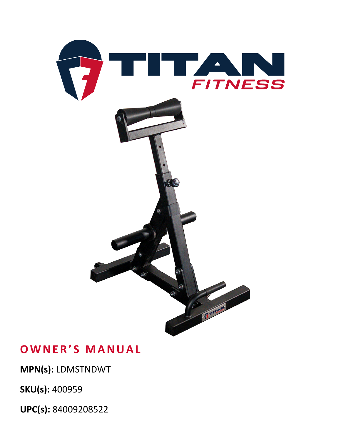

## **OWNER'S MANUAL**

**MPN(s):** LDMSTNDWT

**SKU(s):** 400959

**UPC(s):** 84009208522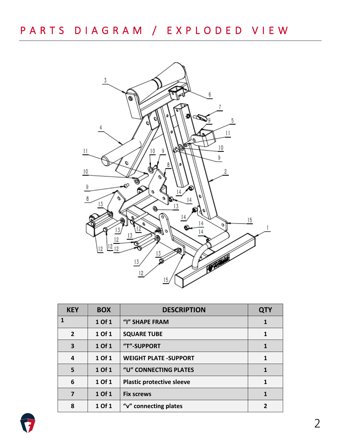

| <b>KEY</b>     | <b>BOX</b> | <b>DESCRIPTION</b>               | <b>QTY</b>               |
|----------------|------------|----------------------------------|--------------------------|
| 1              | 1 Of 1     | "I" SHAPE FRAM                   | 1                        |
| $\overline{2}$ | 1 Of 1     | <b>SQUARE TUBE</b>               | 1                        |
| 3              | 1 Of 1     | "T"-SUPPORT                      | $\mathbf{1}$             |
| 4              | 1 Of 1     | <b>WEIGHT PLATE -SUPPORT</b>     | $\mathbf 1$              |
| 5              | 1 Of 1     | "U" CONNECTING PLATES            | 1                        |
| 6              | 1 Of 1     | <b>Plastic protective sleeve</b> | $\mathbf{1}$             |
| 7              | 1 Of 1     | <b>Fix screws</b>                | $\mathbf{1}$             |
| 8              | 1 Of 1     | "v" connecting plates            | $\overline{\phantom{a}}$ |

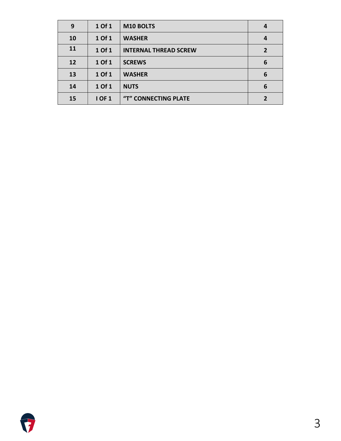| 9  | 1 Of 1        | M10 BOLTS                    | 4              |
|----|---------------|------------------------------|----------------|
| 10 | 1 Of 1        | <b>WASHER</b>                | 4              |
| 11 | 1 Of 1        | <b>INTERNAL THREAD SCREW</b> | $\overline{2}$ |
| 12 | 1 Of 1        | <b>SCREWS</b>                | 6              |
| 13 | 1 Of 1        | <b>WASHER</b>                | 6              |
| 14 | 1 Of 1        | <b>NUTS</b>                  | 6              |
| 15 | <b>I OF 1</b> | "T" CONNECTING PLATE         |                |